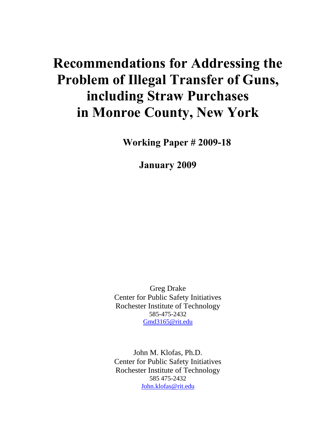# **Recommendations for Addressing the Problem of Illegal Transfer of Guns, including Straw Purchases in Monroe County, New York**

**Working Paper # 2009-18**

**January 2009** 

Greg Drake Center for Public Safety Initiatives Rochester Institute of Technology 585-475-2432 Gmd3165@rit.edu

John M. Klofas, Ph.D. Center for Public Safety Initiatives Rochester Institute of Technology 585 475-2432 John.klofas@rit.edu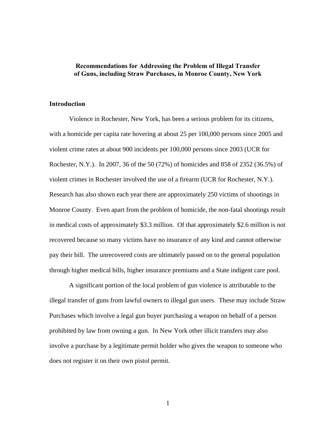### **Recommendations for Addressing the Problem of Illegal Transfer of Guns, including Straw Purchases, in Monroe County, New York**

#### **Introduction**

Violence in Rochester, New York, has been a serious problem for its citizens, with a homicide per capita rate hovering at about 25 per 100,000 persons since 2005 and violent crime rates at about 900 incidents per 100,000 persons since 2003 (UCR for Rochester, N.Y.). In 2007, 36 of the 50 (72%) of homicides and 858 of 2352 (36.5%) of violent crimes in Rochester involved the use of a firearm (UCR for Rochester, N.Y.). Research has also shown each year there are approximately 250 victims of shootings in Monroe County. Even apart from the problem of homicide, the non-fatal shootings result in medical costs of approximately \$3.3 million. Of that approximately \$2.6 million is not recovered because so many victims have no insurance of any kind and cannot otherwise pay their bill. The unrecovered costs are ultimately passed on to the general population through higher medical bills, higher insurance premiums and a State indigent care pool.

 A significant portion of the local problem of gun violence is attributable to the illegal transfer of guns from lawful owners to illegal gun users. These may include Straw Purchases which involve a legal gun buyer purchasing a weapon on behalf of a person prohibited by law from owning a gun. In New York other illicit transfers may also involve a purchase by a legitimate permit holder who gives the weapon to someone who does not register it on their own pistol permit.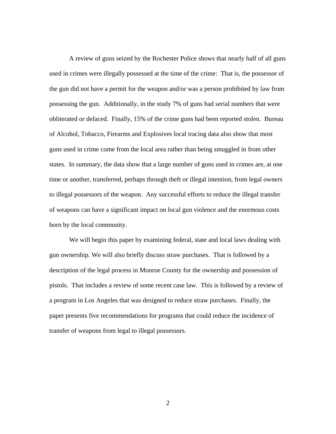A review of guns seized by the Rochester Police shows that nearly half of all guns used in crimes were illegally possessed at the time of the crime: That is, the possessor of the gun did not have a permit for the weapon and/or was a person prohibited by law from possessing the gun. Additionally, in the study 7% of guns had serial numbers that were obliterated or defaced. Finally, 15% of the crime guns had been reported stolen. Bureau of Alcohol, Tobacco, Firearms and Explosives local tracing data also show that most guns used in crime come from the local area rather than being smuggled in from other states. In summary, the data show that a large number of guns used in crimes are, at one time or another, transferred, perhaps through theft or illegal intention, from legal owners to illegal possessors of the weapon. Any successful efforts to reduce the illegal transfer of weapons can have a significant impact on local gun violence and the enormous costs born by the local community.

 We will begin this paper by examining federal, state and local laws dealing with gun ownership. We will also briefly discuss straw purchases. That is followed by a description of the legal process in Monroe County for the ownership and possession of pistols. That includes a review of some recent case law. This is followed by a review of a program in Los Angeles that was designed to reduce straw purchases. Finally, the paper presents five recommendations for programs that could reduce the incidence of transfer of weapons from legal to illegal possessors.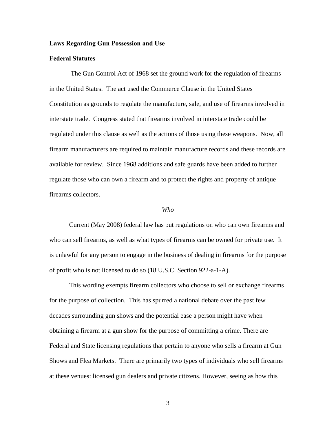#### **Laws Regarding Gun Possession and Use**

#### **Federal Statutes**

 The Gun Control Act of 1968 set the ground work for the regulation of firearms in the United States. The act used the Commerce Clause in the United States Constitution as grounds to regulate the manufacture, sale, and use of firearms involved in interstate trade. Congress stated that firearms involved in interstate trade could be regulated under this clause as well as the actions of those using these weapons. Now, all firearm manufacturers are required to maintain manufacture records and these records are available for review. Since 1968 additions and safe guards have been added to further regulate those who can own a firearm and to protect the rights and property of antique firearms collectors.

#### *Who*

Current (May 2008) federal law has put regulations on who can own firearms and who can sell firearms, as well as what types of firearms can be owned for private use. It is unlawful for any person to engage in the business of dealing in firearms for the purpose of profit who is not licensed to do so (18 U.S.C. Section 922-a-1-A).

This wording exempts firearm collectors who choose to sell or exchange firearms for the purpose of collection. This has spurred a national debate over the past few decades surrounding gun shows and the potential ease a person might have when obtaining a firearm at a gun show for the purpose of committing a crime. There are Federal and State licensing regulations that pertain to anyone who sells a firearm at Gun Shows and Flea Markets. There are primarily two types of individuals who sell firearms at these venues: licensed gun dealers and private citizens. However, seeing as how this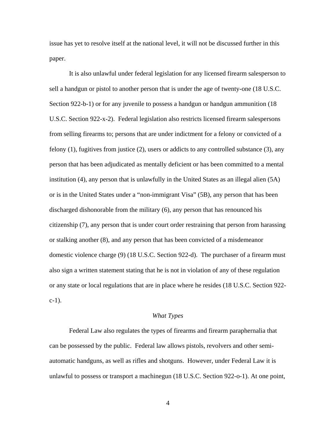issue has yet to resolve itself at the national level, it will not be discussed further in this paper.

It is also unlawful under federal legislation for any licensed firearm salesperson to sell a handgun or pistol to another person that is under the age of twenty-one (18 U.S.C. Section 922-b-1) or for any juvenile to possess a handgun or handgun ammunition (18 U.S.C. Section 922-x-2). Federal legislation also restricts licensed firearm salespersons from selling firearms to; persons that are under indictment for a felony or convicted of a felony (1), fugitives from justice (2), users or addicts to any controlled substance (3), any person that has been adjudicated as mentally deficient or has been committed to a mental institution (4), any person that is unlawfully in the United States as an illegal alien (5A) or is in the United States under a "non-immigrant Visa" (5B), any person that has been discharged dishonorable from the military (6), any person that has renounced his citizenship (7), any person that is under court order restraining that person from harassing or stalking another (8), and any person that has been convicted of a misdemeanor domestic violence charge (9) (18 U.S.C. Section 922-d). The purchaser of a firearm must also sign a written statement stating that he is not in violation of any of these regulation or any state or local regulations that are in place where he resides (18 U.S.C. Section 922  $c-1$ ).

#### *What Types*

Federal Law also regulates the types of firearms and firearm paraphernalia that can be possessed by the public. Federal law allows pistols, revolvers and other semiautomatic handguns, as well as rifles and shotguns. However, under Federal Law it is unlawful to possess or transport a machinegun (18 U.S.C. Section 922-o-1). At one point,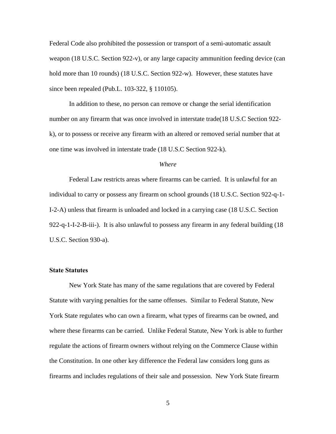Federal Code also prohibited the possession or transport of a semi-automatic assault weapon (18 U.S.C. Section 922-v), or any large capacity ammunition feeding device (can hold more than 10 rounds) (18 U.S.C. Section 922-w). However, these statutes have since been repealed (Pub.L. 103-322, § 110105).

In addition to these, no person can remove or change the serial identification number on any firearm that was once involved in interstate trade(18 U.S.C Section 922 k), or to possess or receive any firearm with an altered or removed serial number that at one time was involved in interstate trade (18 U.S.C Section 922-k).

#### *Where*

 Federal Law restricts areas where firearms can be carried. It is unlawful for an individual to carry or possess any firearm on school grounds (18 U.S.C. Section 922-q-1- I-2-A) unless that firearm is unloaded and locked in a carrying case (18 U.S.C. Section 922-q-1-I-2-B-iii-). It is also unlawful to possess any firearm in any federal building (18 U.S.C. Section 930-a).

#### **State Statutes**

 New York State has many of the same regulations that are covered by Federal Statute with varying penalties for the same offenses. Similar to Federal Statute, New York State regulates who can own a firearm, what types of firearms can be owned, and where these firearms can be carried. Unlike Federal Statute, New York is able to further regulate the actions of firearm owners without relying on the Commerce Clause within the Constitution. In one other key difference the Federal law considers long guns as firearms and includes regulations of their sale and possession. New York State firearm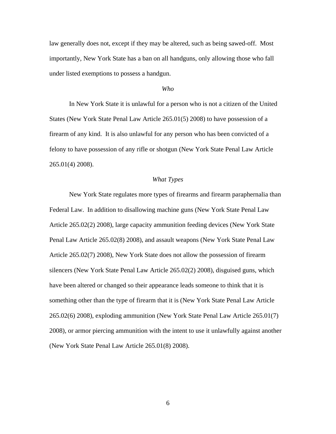law generally does not, except if they may be altered, such as being sawed-off. Most importantly, New York State has a ban on all handguns, only allowing those who fall under listed exemptions to possess a handgun.

#### *Who*

 In New York State it is unlawful for a person who is not a citizen of the United States (New York State Penal Law Article 265.01(5) 2008) to have possession of a firearm of any kind. It is also unlawful for any person who has been convicted of a felony to have possession of any rifle or shotgun (New York State Penal Law Article 265.01(4) 2008).

#### *What Types*

 New York State regulates more types of firearms and firearm paraphernalia than Federal Law. In addition to disallowing machine guns (New York State Penal Law Article 265.02(2) 2008), large capacity ammunition feeding devices (New York State Penal Law Article 265.02(8) 2008), and assault weapons (New York State Penal Law Article 265.02(7) 2008), New York State does not allow the possession of firearm silencers (New York State Penal Law Article 265.02(2) 2008), disguised guns, which have been altered or changed so their appearance leads someone to think that it is something other than the type of firearm that it is (New York State Penal Law Article 265.02(6) 2008), exploding ammunition (New York State Penal Law Article 265.01(7) 2008), or armor piercing ammunition with the intent to use it unlawfully against another (New York State Penal Law Article 265.01(8) 2008).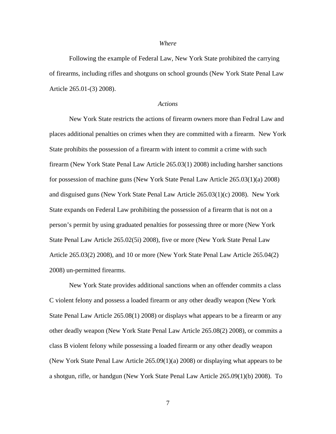#### *Where*

 Following the example of Federal Law, New York State prohibited the carrying of firearms, including rifles and shotguns on school grounds (New York State Penal Law Article 265.01-(3) 2008).

#### *Actions*

 New York State restricts the actions of firearm owners more than Fedral Law and places additional penalties on crimes when they are committed with a firearm. New York State prohibits the possession of a firearm with intent to commit a crime with such firearm (New York State Penal Law Article 265.03(1) 2008) including harsher sanctions for possession of machine guns (New York State Penal Law Article 265.03(1)(a) 2008) and disguised guns (New York State Penal Law Article 265.03(1)(c) 2008). New York State expands on Federal Law prohibiting the possession of a firearm that is not on a person's permit by using graduated penalties for possessing three or more (New York State Penal Law Article 265.02(5i) 2008), five or more (New York State Penal Law Article 265.03(2) 2008), and 10 or more (New York State Penal Law Article 265.04(2) 2008) un-permitted firearms.

New York State provides additional sanctions when an offender commits a class C violent felony and possess a loaded firearm or any other deadly weapon (New York State Penal Law Article 265.08(1) 2008) or displays what appears to be a firearm or any other deadly weapon (New York State Penal Law Article 265.08(2) 2008), or commits a class B violent felony while possessing a loaded firearm or any other deadly weapon (New York State Penal Law Article 265.09(1)(a) 2008) or displaying what appears to be a shotgun, rifle, or handgun (New York State Penal Law Article 265.09(1)(b) 2008). To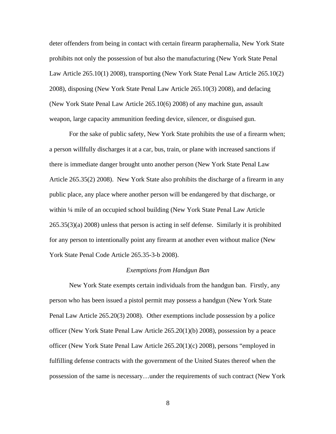deter offenders from being in contact with certain firearm paraphernalia, New York State prohibits not only the possession of but also the manufacturing (New York State Penal Law Article 265.10(1) 2008), transporting (New York State Penal Law Article 265.10(2) 2008), disposing (New York State Penal Law Article 265.10(3) 2008), and defacing (New York State Penal Law Article 265.10(6) 2008) of any machine gun, assault weapon, large capacity ammunition feeding device, silencer, or disguised gun.

For the sake of public safety, New York State prohibits the use of a firearm when; a person willfully discharges it at a car, bus, train, or plane with increased sanctions if there is immediate danger brought unto another person (New York State Penal Law Article 265.35(2) 2008). New York State also prohibits the discharge of a firearm in any public place, any place where another person will be endangered by that discharge, or within ¼ mile of an occupied school building (New York State Penal Law Article 265.35(3)(a) 2008) unless that person is acting in self defense. Similarly it is prohibited for any person to intentionally point any firearm at another even without malice (New York State Penal Code Article 265.35-3-b 2008).

#### *Exemptions from Handgun Ban*

New York State exempts certain individuals from the handgun ban. Firstly, any person who has been issued a pistol permit may possess a handgun (New York State Penal Law Article 265.20(3) 2008). Other exemptions include possession by a police officer (New York State Penal Law Article 265.20(1)(b) 2008), possession by a peace officer (New York State Penal Law Article 265.20(1)(c) 2008), persons "employed in fulfilling defense contracts with the government of the United States thereof when the possession of the same is necessary…under the requirements of such contract (New York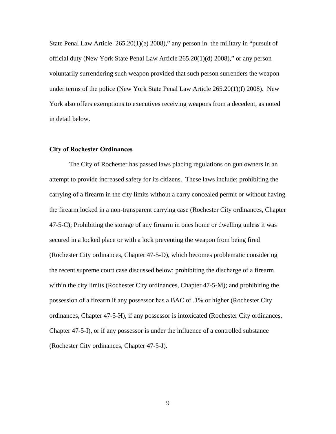State Penal Law Article 265.20(1)(e) 2008)," any person in the military in "pursuit of official duty (New York State Penal Law Article 265.20(1)(d) 2008)," or any person voluntarily surrendering such weapon provided that such person surrenders the weapon under terms of the police (New York State Penal Law Article 265.20(1)(f) 2008). New York also offers exemptions to executives receiving weapons from a decedent, as noted in detail below.

#### **City of Rochester Ordinances**

The City of Rochester has passed laws placing regulations on gun owners in an attempt to provide increased safety for its citizens. These laws include; prohibiting the carrying of a firearm in the city limits without a carry concealed permit or without having the firearm locked in a non-transparent carrying case (Rochester City ordinances, Chapter 47-5-C); Prohibiting the storage of any firearm in ones home or dwelling unless it was secured in a locked place or with a lock preventing the weapon from being fired (Rochester City ordinances, Chapter 47-5-D), which becomes problematic considering the recent supreme court case discussed below; prohibiting the discharge of a firearm within the city limits (Rochester City ordinances, Chapter 47-5-M); and prohibiting the possession of a firearm if any possessor has a BAC of .1% or higher (Rochester City ordinances, Chapter 47-5-H), if any possessor is intoxicated (Rochester City ordinances, Chapter 47-5-I), or if any possessor is under the influence of a controlled substance (Rochester City ordinances, Chapter 47-5-J).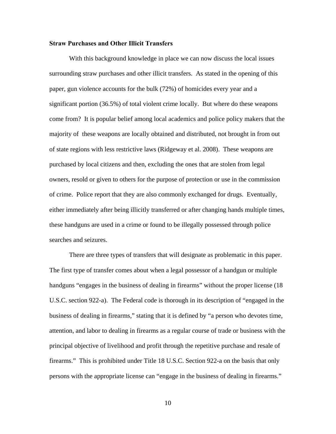#### **Straw Purchases and Other Illicit Transfers**

With this background knowledge in place we can now discuss the local issues surrounding straw purchases and other illicit transfers. As stated in the opening of this paper, gun violence accounts for the bulk (72%) of homicides every year and a significant portion (36.5%) of total violent crime locally. But where do these weapons come from? It is popular belief among local academics and police policy makers that the majority of these weapons are locally obtained and distributed, not brought in from out of state regions with less restrictive laws (Ridgeway et al. 2008). These weapons are purchased by local citizens and then, excluding the ones that are stolen from legal owners, resold or given to others for the purpose of protection or use in the commission of crime. Police report that they are also commonly exchanged for drugs. Eventually, either immediately after being illicitly transferred or after changing hands multiple times, these handguns are used in a crime or found to be illegally possessed through police searches and seizures.

There are three types of transfers that will designate as problematic in this paper. The first type of transfer comes about when a legal possessor of a handgun or multiple handguns "engages in the business of dealing in firearms" without the proper license (18) U.S.C. section 922-a). The Federal code is thorough in its description of "engaged in the business of dealing in firearms," stating that it is defined by "a person who devotes time, attention, and labor to dealing in firearms as a regular course of trade or business with the principal objective of livelihood and profit through the repetitive purchase and resale of firearms." This is prohibited under Title 18 U.S.C. Section 922-a on the basis that only persons with the appropriate license can "engage in the business of dealing in firearms."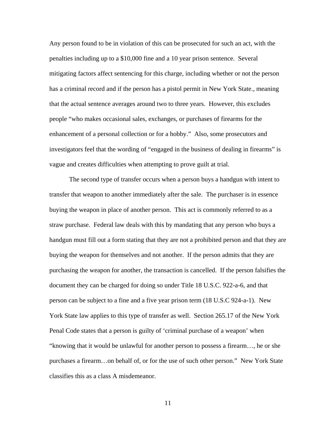Any person found to be in violation of this can be prosecuted for such an act, with the penalties including up to a \$10,000 fine and a 10 year prison sentence. Several mitigating factors affect sentencing for this charge, including whether or not the person has a criminal record and if the person has a pistol permit in New York State., meaning that the actual sentence averages around two to three years. However, this excludes people "who makes occasional sales, exchanges, or purchases of firearms for the enhancement of a personal collection or for a hobby." Also, some prosecutors and investigators feel that the wording of "engaged in the business of dealing in firearms" is vague and creates difficulties when attempting to prove guilt at trial.

The second type of transfer occurs when a person buys a handgun with intent to transfer that weapon to another immediately after the sale. The purchaser is in essence buying the weapon in place of another person. This act is commonly referred to as a straw purchase. Federal law deals with this by mandating that any person who buys a handgun must fill out a form stating that they are not a prohibited person and that they are buying the weapon for themselves and not another. If the person admits that they are purchasing the weapon for another, the transaction is cancelled. If the person falsifies the document they can be charged for doing so under Title 18 U.S.C. 922-a-6, and that person can be subject to a fine and a five year prison term (18 U.S.C 924-a-1). New York State law applies to this type of transfer as well. Section 265.17 of the New York Penal Code states that a person is guilty of 'criminal purchase of a weapon' when "knowing that it would be unlawful for another person to possess a firearm…, he or she purchases a firearm…on behalf of, or for the use of such other person." New York State classifies this as a class A misdemeanor.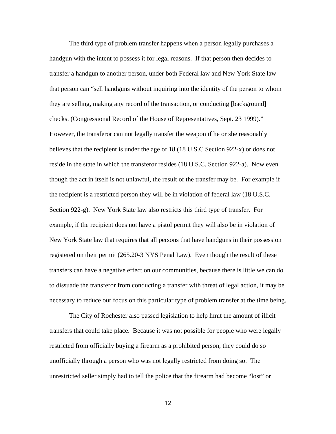The third type of problem transfer happens when a person legally purchases a handgun with the intent to possess it for legal reasons. If that person then decides to transfer a handgun to another person, under both Federal law and New York State law that person can "sell handguns without inquiring into the identity of the person to whom they are selling, making any record of the transaction, or conducting [background] checks. (Congressional Record of the House of Representatives, Sept. 23 1999)." However, the transferor can not legally transfer the weapon if he or she reasonably believes that the recipient is under the age of 18 (18 U.S.C Section 922-x) or does not reside in the state in which the transferor resides (18 U.S.C. Section 922-a). Now even though the act in itself is not unlawful, the result of the transfer may be. For example if the recipient is a restricted person they will be in violation of federal law (18 U.S.C. Section 922-g). New York State law also restricts this third type of transfer. For example, if the recipient does not have a pistol permit they will also be in violation of New York State law that requires that all persons that have handguns in their possession registered on their permit (265.20-3 NYS Penal Law). Even though the result of these transfers can have a negative effect on our communities, because there is little we can do to dissuade the transferor from conducting a transfer with threat of legal action, it may be necessary to reduce our focus on this particular type of problem transfer at the time being.

The City of Rochester also passed legislation to help limit the amount of illicit transfers that could take place. Because it was not possible for people who were legally restricted from officially buying a firearm as a prohibited person, they could do so unofficially through a person who was not legally restricted from doing so. The unrestricted seller simply had to tell the police that the firearm had become "lost" or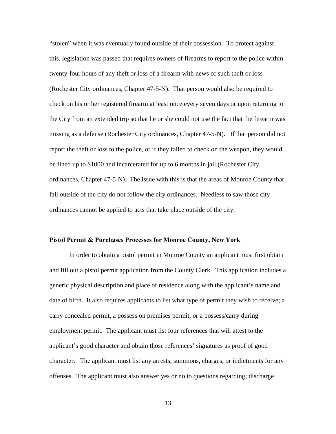"stolen" when it was eventually found outside of their possession. To protect against this, legislation was passed that requires owners of firearms to report to the police within twenty-four hours of any theft or loss of a firearm with news of such theft or loss (Rochester City ordinances, Chapter 47-5-N). That person would also be required to check on his or her registered firearm at least once every seven days or upon returning to the City from an extended trip so that he or she could not use the fact that the firearm was missing as a defense (Rochester City ordinances, Chapter 47-5-N). If that person did not report the theft or loss to the police, or if they failed to check on the weapon, they would be fined up to \$1000 and incarcerated for up to 6 months in jail (Rochester City ordinances, Chapter 47-5-N). The issue with this is that the areas of Monroe County that fall outside of the city do not follow the city ordinances. Needless to saw those city ordinances cannot be applied to acts that take place outside of the city.

#### **Pistol Permit & Purchases Processes for Monroe County, New York**

In order to obtain a pistol permit in Monroe County an applicant must first obtain and fill out a pistol permit application from the County Clerk. This application includes a generic physical description and place of residence along with the applicant's name and date of birth. It also requires applicants to list what type of permit they wish to receive; a carry concealed permit, a possess on premises permit, or a possess/carry during employment permit. The applicant must list four references that will attest to the applicant's good character and obtain those references' signatures as proof of good character. The applicant must list any arrests, summons, charges, or indictments for any offenses. The applicant must also answer yes or no to questions regarding; discharge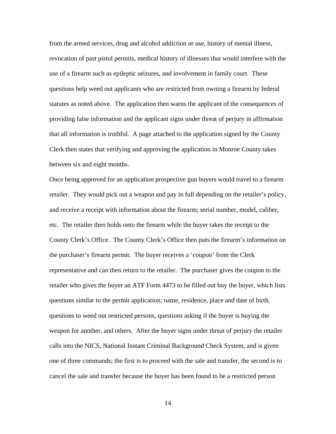from the armed services, drug and alcohol addiction or use, history of mental illness, revocation of past pistol permits, medical history of illnesses that would interfere with the use of a firearm such as epileptic seizures, and involvement in family court. These questions help weed out applicants who are restricted from owning a firearm by federal statutes as noted above. The application then warns the applicant of the consequences of providing false information and the applicant signs under threat of perjury in affirmation that all information is truthful. A page attached to the application signed by the County Clerk then states that verifying and approving the application in Monroe County takes between six and eight months.

Once being approved for an application prospective gun buyers would travel to a firearm retailer. They would pick out a weapon and pay in full depending on the retailer's policy, and receive a receipt with information about the firearm; serial number, model, caliber, etc. The retailer then holds onto the firearm while the buyer takes the receipt to the County Clerk's Office. The County Clerk's Office then puts the firearm's information on the purchaser's firearm permit. The buyer receives a 'coupon' from the Clerk representative and can then return to the retailer. The purchaser gives the coupon to the retailer who gives the buyer an ATF Form 4473 to be filled out buy the buyer, which lists questions similar to the permit application; name, residence, place and date of birth, questions to weed out restricted persons, questions asking if the buyer is buying the weapon for another, and others. After the buyer signs under threat of perjury the retailer calls into the NICS, National Instant Criminal Background Check System, and is given one of three commands; the first is to proceed with the sale and transfer, the second is to cancel the sale and transfer because the buyer has been found to be a restricted person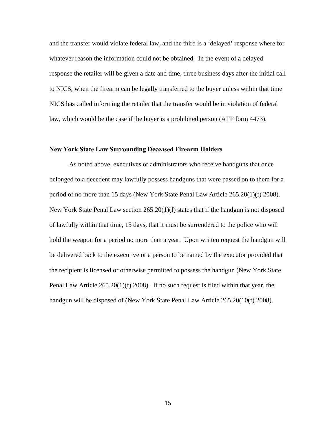and the transfer would violate federal law, and the third is a 'delayed' response where for whatever reason the information could not be obtained. In the event of a delayed response the retailer will be given a date and time, three business days after the initial call to NICS, when the firearm can be legally transferred to the buyer unless within that time NICS has called informing the retailer that the transfer would be in violation of federal law, which would be the case if the buyer is a prohibited person (ATF form 4473).

#### **New York State Law Surrounding Deceased Firearm Holders**

As noted above, executives or administrators who receive handguns that once belonged to a decedent may lawfully possess handguns that were passed on to them for a period of no more than 15 days (New York State Penal Law Article 265.20(1)(f) 2008). New York State Penal Law section 265.20(1)(f) states that if the handgun is not disposed of lawfully within that time, 15 days, that it must be surrendered to the police who will hold the weapon for a period no more than a year. Upon written request the handgun will be delivered back to the executive or a person to be named by the executor provided that the recipient is licensed or otherwise permitted to possess the handgun (New York State Penal Law Article 265.20(1)(f) 2008). If no such request is filed within that year, the handgun will be disposed of (New York State Penal Law Article 265.20(10(f) 2008).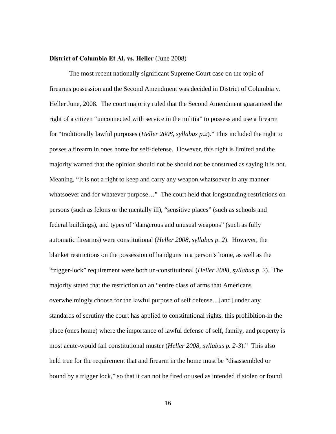#### **District of Columbia Et Al. vs. Heller** (June 2008)

The most recent nationally significant Supreme Court case on the topic of firearms possession and the Second Amendment was decided in District of Columbia v. Heller June, 2008. The court majority ruled that the Second Amendment guaranteed the right of a citizen "unconnected with service in the militia" to possess and use a firearm for "traditionally lawful purposes (*Heller 2008, syllabus p.2*)." This included the right to posses a firearm in ones home for self-defense. However, this right is limited and the majority warned that the opinion should not be should not be construed as saying it is not. Meaning, "It is not a right to keep and carry any weapon whatsoever in any manner whatsoever and for whatever purpose..." The court held that longstanding restrictions on persons (such as felons or the mentally ill), "sensitive places" (such as schools and federal buildings), and types of "dangerous and unusual weapons" (such as fully automatic firearms) were constitutional (*Heller 2008, syllabus p. 2*). However, the blanket restrictions on the possession of handguns in a person's home, as well as the "trigger-lock" requirement were both un-constitutional (*Heller 2008, syllabus p. 2*). The majority stated that the restriction on an "entire class of arms that Americans overwhelmingly choose for the lawful purpose of self defense…[and] under any standards of scrutiny the court has applied to constitutional rights, this prohibition-in the place (ones home) where the importance of lawful defense of self, family, and property is most acute-would fail constitutional muster (*Heller 2008, syllabus p. 2-3*)." This also held true for the requirement that and firearm in the home must be "disassembled or bound by a trigger lock," so that it can not be fired or used as intended if stolen or found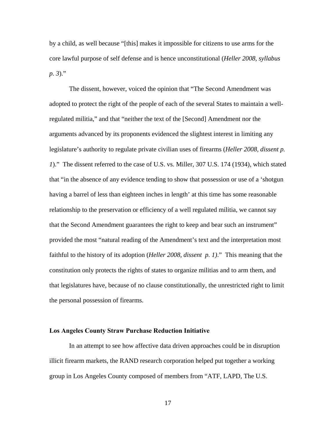by a child, as well because "[this] makes it impossible for citizens to use arms for the core lawful purpose of self defense and is hence unconstitutional (*Heller 2008, syllabus p. 3*)."

 The dissent, however, voiced the opinion that "The Second Amendment was adopted to protect the right of the people of each of the several States to maintain a wellregulated militia," and that "neither the text of the [Second] Amendment nor the arguments advanced by its proponents evidenced the slightest interest in limiting any legislature's authority to regulate private civilian uses of firearms (*Heller 2008, dissent p. 1*)." The dissent referred to the case of U.S. vs. Miller, 307 U.S. 174 (1934), which stated that "in the absence of any evidence tending to show that possession or use of a 'shotgun having a barrel of less than eighteen inches in length' at this time has some reasonable relationship to the preservation or efficiency of a well regulated militia, we cannot say that the Second Amendment guarantees the right to keep and bear such an instrument" provided the most "natural reading of the Amendment's text and the interpretation most faithful to the history of its adoption (*Heller 2008, dissent p. 1)*." This meaning that the constitution only protects the rights of states to organize militias and to arm them, and that legislatures have, because of no clause constitutionally, the unrestricted right to limit the personal possession of firearms.

#### **Los Angeles County Straw Purchase Reduction Initiative**

In an attempt to see how affective data driven approaches could be in disruption illicit firearm markets, the RAND research corporation helped put together a working group in Los Angeles County composed of members from "ATF, LAPD, The U.S.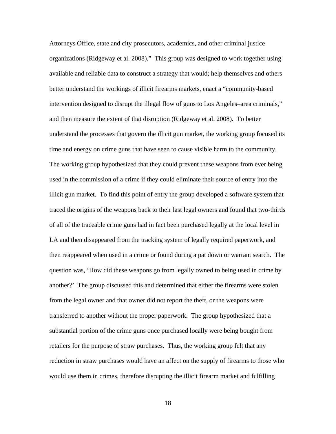Attorneys Office, state and city prosecutors, academics, and other criminal justice organizations (Ridgeway et al. 2008)." This group was designed to work together using available and reliable data to construct a strategy that would; help themselves and others better understand the workings of illicit firearms markets, enact a "community-based intervention designed to disrupt the illegal flow of guns to Los Angeles–area criminals," and then measure the extent of that disruption (Ridgeway et al. 2008). To better understand the processes that govern the illicit gun market, the working group focused its time and energy on crime guns that have seen to cause visible harm to the community. The working group hypothesized that they could prevent these weapons from ever being used in the commission of a crime if they could eliminate their source of entry into the illicit gun market. To find this point of entry the group developed a software system that traced the origins of the weapons back to their last legal owners and found that two-thirds of all of the traceable crime guns had in fact been purchased legally at the local level in LA and then disappeared from the tracking system of legally required paperwork, and then reappeared when used in a crime or found during a pat down or warrant search. The question was, 'How did these weapons go from legally owned to being used in crime by another?' The group discussed this and determined that either the firearms were stolen from the legal owner and that owner did not report the theft, or the weapons were transferred to another without the proper paperwork. The group hypothesized that a substantial portion of the crime guns once purchased locally were being bought from retailers for the purpose of straw purchases. Thus, the working group felt that any reduction in straw purchases would have an affect on the supply of firearms to those who would use them in crimes, therefore disrupting the illicit firearm market and fulfilling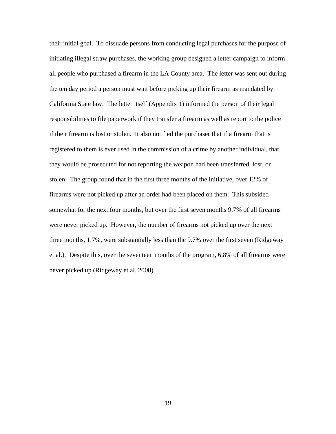their initial goal. To dissuade persons from conducting legal purchases for the purpose of initiating illegal straw purchases, the working group designed a letter campaign to inform all people who purchased a firearm in the LA County area. The letter was sent out during the ten day period a person must wait before picking up their firearm as mandated by California State law. The letter itself (Appendix 1) informed the person of their legal responsibilities to file paperwork if they transfer a firearm as well as report to the police if their firearm is lost or stolen. It also notified the purchaser that if a firearm that is registered to them is ever used in the commission of a crime by another individual, that they would be prosecuted for not reporting the weapon had been transferred, lost, or stolen. The group found that in the first three months of the initiative, over 12% of firearms were not picked up after an order had been placed on them. This subsided somewhat for the next four months, but over the first seven months 9.7% of all firearms were never picked up. However, the number of firearms not picked up over the next three months, 1.7%, were substantially less than the 9.7% over the first seven (Ridgeway et al.). Despite this, over the seventeen months of the program, 6.8% of all firearms were never picked up (Ridgeway et al. 2008)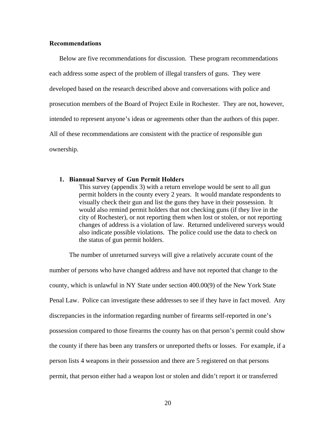#### **Recommendations**

Below are five recommendations for discussion. These program recommendations each address some aspect of the problem of illegal transfers of guns. They were developed based on the research described above and conversations with police and prosecution members of the Board of Project Exile in Rochester. They are not, however, intended to represent anyone's ideas or agreements other than the authors of this paper. All of these recommendations are consistent with the practice of responsible gun ownership.

#### **1. Biannual Survey of Gun Permit Holders**

This survey (appendix 3) with a return envelope would be sent to all gun permit holders in the county every 2 years. It would mandate respondents to visually check their gun and list the guns they have in their possession. It would also remind permit holders that not checking guns (if they live in the city of Rochester), or not reporting them when lost or stolen, or not reporting changes of address is a violation of law. Returned undelivered surveys would also indicate possible violations. The police could use the data to check on the status of gun permit holders.

The number of unreturned surveys will give a relatively accurate count of the number of persons who have changed address and have not reported that change to the county, which is unlawful in NY State under section 400.00(9) of the New York State Penal Law. Police can investigate these addresses to see if they have in fact moved. Any discrepancies in the information regarding number of firearms self-reported in one's possession compared to those firearms the county has on that person's permit could show the county if there has been any transfers or unreported thefts or losses. For example, if a person lists 4 weapons in their possession and there are 5 registered on that persons permit, that person either had a weapon lost or stolen and didn't report it or transferred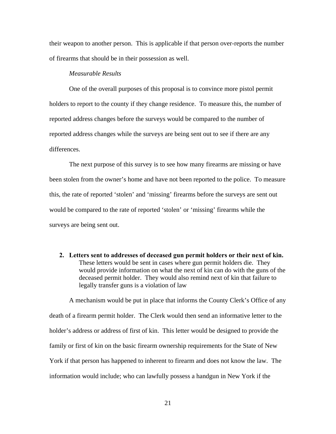their weapon to another person. This is applicable if that person over-reports the number of firearms that should be in their possession as well.

#### *Measurable Results*

One of the overall purposes of this proposal is to convince more pistol permit holders to report to the county if they change residence. To measure this, the number of reported address changes before the surveys would be compared to the number of reported address changes while the surveys are being sent out to see if there are any differences.

The next purpose of this survey is to see how many firearms are missing or have been stolen from the owner's home and have not been reported to the police. To measure this, the rate of reported 'stolen' and 'missing' firearms before the surveys are sent out would be compared to the rate of reported 'stolen' or 'missing' firearms while the surveys are being sent out.

**2. Letters sent to addresses of deceased gun permit holders or their next of kin.**  These letters would be sent in cases where gun permit holders die. They would provide information on what the next of kin can do with the guns of the deceased permit holder. They would also remind next of kin that failure to legally transfer guns is a violation of law

 A mechanism would be put in place that informs the County Clerk's Office of any death of a firearm permit holder. The Clerk would then send an informative letter to the holder's address or address of first of kin. This letter would be designed to provide the family or first of kin on the basic firearm ownership requirements for the State of New York if that person has happened to inherent to firearm and does not know the law. The information would include; who can lawfully possess a handgun in New York if the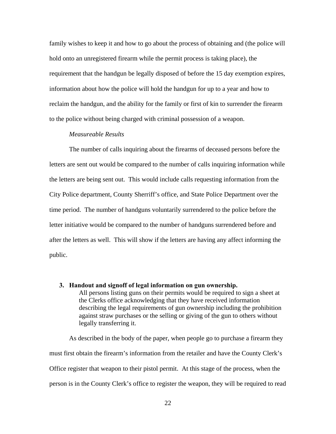family wishes to keep it and how to go about the process of obtaining and (the police will hold onto an unregistered firearm while the permit process is taking place), the requirement that the handgun be legally disposed of before the 15 day exemption expires, information about how the police will hold the handgun for up to a year and how to reclaim the handgun, and the ability for the family or first of kin to surrender the firearm to the police without being charged with criminal possession of a weapon.

#### *Measureable Results*

The number of calls inquiring about the firearms of deceased persons before the letters are sent out would be compared to the number of calls inquiring information while the letters are being sent out. This would include calls requesting information from the City Police department, County Sherriff's office, and State Police Department over the time period. The number of handguns voluntarily surrendered to the police before the letter initiative would be compared to the number of handguns surrendered before and after the letters as well. This will show if the letters are having any affect informing the public.

**3. Handout and signoff of legal information on gun ownership.**  All persons listing guns on their permits would be required to sign a sheet at the Clerks office acknowledging that they have received information describing the legal requirements of gun ownership including the prohibition against straw purchases or the selling or giving of the gun to others without legally transferring it.

As described in the body of the paper, when people go to purchase a firearm they must first obtain the firearm's information from the retailer and have the County Clerk's Office register that weapon to their pistol permit. At this stage of the process, when the person is in the County Clerk's office to register the weapon, they will be required to read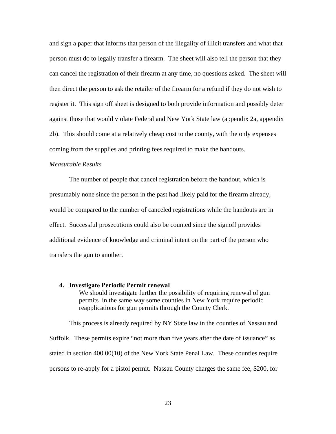and sign a paper that informs that person of the illegality of illicit transfers and what that person must do to legally transfer a firearm. The sheet will also tell the person that they can cancel the registration of their firearm at any time, no questions asked. The sheet will then direct the person to ask the retailer of the firearm for a refund if they do not wish to register it. This sign off sheet is designed to both provide information and possibly deter against those that would violate Federal and New York State law (appendix 2a, appendix 2b). This should come at a relatively cheap cost to the county, with the only expenses coming from the supplies and printing fees required to make the handouts.

#### *Measurable Results*

The number of people that cancel registration before the handout, which is presumably none since the person in the past had likely paid for the firearm already, would be compared to the number of canceled registrations while the handouts are in effect. Successful prosecutions could also be counted since the signoff provides additional evidence of knowledge and criminal intent on the part of the person who transfers the gun to another.

#### **4. Investigate Periodic Permit renewal**

We should investigate further the possibility of requiring renewal of gun permits in the same way some counties in New York require periodic reapplications for gun permits through the County Clerk.

 This process is already required by NY State law in the counties of Nassau and Suffolk. These permits expire "not more than five years after the date of issuance" as stated in section 400.00(10) of the New York State Penal Law. These counties require persons to re-apply for a pistol permit. Nassau County charges the same fee, \$200, for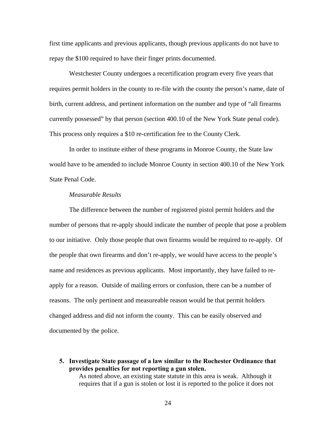first time applicants and previous applicants, though previous applicants do not have to repay the \$100 required to have their finger prints documented.

Westchester County undergoes a recertification program every five years that requires permit holders in the county to re-file with the county the person's name, date of birth, current address, and pertinent information on the number and type of "all firearms currently possessed" by that person (section 400.10 of the New York State penal code). This process only requires a \$10 re-certification fee to the County Clerk.

In order to institute either of these programs in Monroe County, the State law would have to be amended to include Monroe County in section 400.10 of the New York State Penal Code.

#### *Measurable Results*

The difference between the number of registered pistol permit holders and the number of persons that re-apply should indicate the number of people that pose a problem to our initiative. Only those people that own firearms would be required to re-apply. Of the people that own firearms and don't re-apply, we would have access to the people's name and residences as previous applicants. Most importantly, they have failed to reapply for a reason. Outside of mailing errors or confusion, there can be a number of reasons. The only pertinent and measureable reason would be that permit holders changed address and did not inform the county. This can be easily observed and documented by the police.

**5. Investigate State passage of a law similar to the Rochester Ordinance that provides penalties for not reporting a gun stolen.**  As noted above, an existing state statute in this area is weak. Although it requires that if a gun is stolen or lost it is reported to the police it does not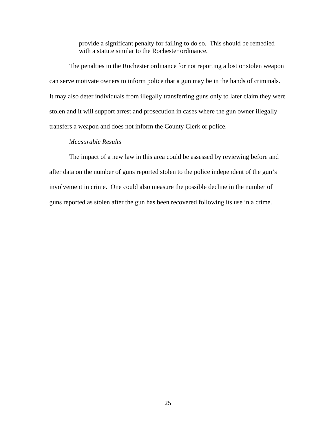provide a significant penalty for failing to do so. This should be remedied with a statute similar to the Rochester ordinance.

 The penalties in the Rochester ordinance for not reporting a lost or stolen weapon can serve motivate owners to inform police that a gun may be in the hands of criminals. It may also deter individuals from illegally transferring guns only to later claim they were stolen and it will support arrest and prosecution in cases where the gun owner illegally transfers a weapon and does not inform the County Clerk or police.

# *Measurable Results*

The impact of a new law in this area could be assessed by reviewing before and after data on the number of guns reported stolen to the police independent of the gun's involvement in crime. One could also measure the possible decline in the number of guns reported as stolen after the gun has been recovered following its use in a crime.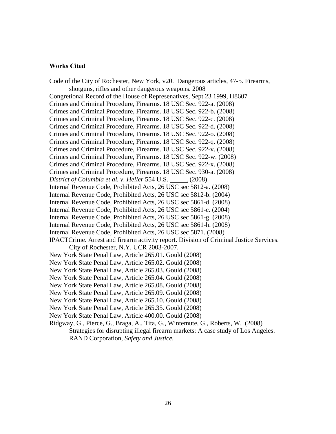#### **Works Cited**

Code of the City of Rochester, New York, v20. Dangerous articles, 47-5. Firearms, shotguns, rifles and other dangerous weapons. 2008 Congretional Record of the House of Represenatives, Sept 23 1999, H8607 Crimes and Criminal Procedure, Firearms. 18 USC Sec. 922-a. (2008) Crimes and Criminal Procedure, Firearms. 18 USC Sec. 922-b. (2008) Crimes and Criminal Procedure, Firearms. 18 USC Sec. 922-c. (2008) Crimes and Criminal Procedure, Firearms. 18 USC Sec. 922-d. (2008) Crimes and Criminal Procedure, Firearms. 18 USC Sec. 922-o. (2008) Crimes and Criminal Procedure, Firearms. 18 USC Sec. 922-q. (2008) Crimes and Criminal Procedure, Firearms. 18 USC Sec. 922-v. (2008) Crimes and Criminal Procedure, Firearms. 18 USC Sec. 922-w. (2008) Crimes and Criminal Procedure, Firearms. 18 USC Sec. 922-x. (2008) Crimes and Criminal Procedure, Firearms. 18 USC Sec. 930-a. (2008) *District of Columbia et al. v. Heller* 554 U.S. (2008) Internal Revenue Code, Prohibited Acts, 26 USC sec 5812-a. (2008) Internal Revenue Code, Prohibited Acts, 26 USC sec 5812-b. (2004) Internal Revenue Code, Prohibited Acts, 26 USC sec 5861-d. (2008) Internal Revenue Code, Prohibited Acts, 26 USC sec 5861-e. (2004) Internal Revenue Code, Prohibited Acts, 26 USC sec 5861-g. (2008) Internal Revenue Code, Prohibited Acts, 26 USC sec 5861-h. (2008) Internal Revenue Code, Prohibited Acts, 26 USC sec 5871. (2008) IPACTCrime. Arrest and firearm activity report. Division of Criminal Justice Services. City of Rochester, N.Y. UCR 2003-2007. New York State Penal Law, Article 265.01. Gould (2008) New York State Penal Law, Article 265.02. Gould (2008) New York State Penal Law, Article 265.03. Gould (2008) New York State Penal Law, Article 265.04. Gould (2008) New York State Penal Law, Article 265.08. Gould (2008) New York State Penal Law, Article 265.09. Gould (2008) New York State Penal Law, Article 265.10. Gould (2008) New York State Penal Law, Article 265.35. Gould (2008) New York State Penal Law, Article 400.00. Gould (2008) Ridgway, G., Pierce, G., Braga, A., Tita, G., Wintemute, G., Roberts, W. (2008) Strategies for disrupting illegal firearm markets: A case study of Los Angeles. RAND Corporation, *Safety and Justice.*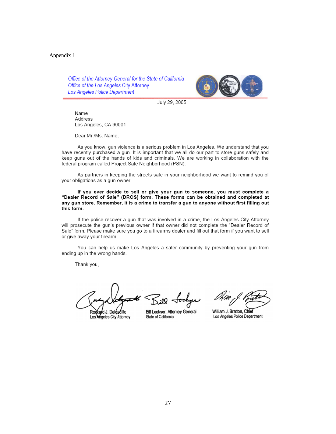#### Appendix 1

Office of the Attorney General for the State of California Office of the Los Angeles City Attorney Los Angeles Police Department



July 29, 2005

Name Address Los Angeles, CA 90001

Dear Mr./Ms. Name,

As you know, gun violence is a serious problem in Los Angeles. We understand that you have recently purchased a gun. It is important that we all do our part to store guns safely and keep guns out of the hands of kids and criminals. We are working in collaboration with the federal program called Project Safe Neighborhood (PSN).

As partners in keeping the streets safe in your neighborhood we want to remind you of your obligations as a gun owner.

If you ever decide to sell or give your gun to someone, you must complete a "Dealer Record of Sale" (DROS) form. These forms can be obtained and completed at any gun store. Remember, it is a crime to transfer a gun to anyone without first filling out this form.

If the police recover a gun that was involved in a crime, the Los Angeles City Attorney will prosecute the gun's previous owner if that owner did not complete the "Dealer Record of Sale" form. Please make sure you go to a firearms dealer and fill out that form if you want to sell or give away your firearm.

You can help us make Los Angeles a safer community by preventing your gun from ending up in the wrong hands.

Thank you,

d J. Del**éadill**o Ro Los Angeles City Attorney

 $SiQ$  Jockyer

Bill Lockyer, Attorney General State of California

William J. Bratton, Chief Los Angeles Police Department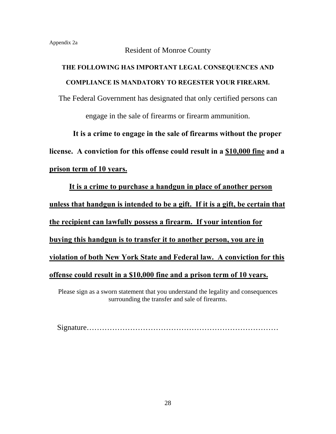# Resident of Monroe County

# **THE FOLLOWING HAS IMPORTANT LEGAL CONSEQUENCES AND COMPLIANCE IS MANDATORY TO REGESTER YOUR FIREARM.**

The Federal Government has designated that only certified persons can engage in the sale of firearms or firearm ammunition.

 **It is a crime to engage in the sale of firearms without the proper license. A conviction for this offense could result in a \$10,000 fine and a prison term of 10 years.**

**It is a crime to purchase a handgun in place of another person unless that handgun is intended to be a gift. If it is a gift, be certain that the recipient can lawfully possess a firearm. If your intention for buying this handgun is to transfer it to another person, you are in violation of both New York State and Federal law. A conviction for this offense could result in a \$10,000 fine and a prison term of 10 years.**

Please sign as a sworn statement that you understand the legality and consequences surrounding the transfer and sale of firearms.

Signature…………………………………………………………………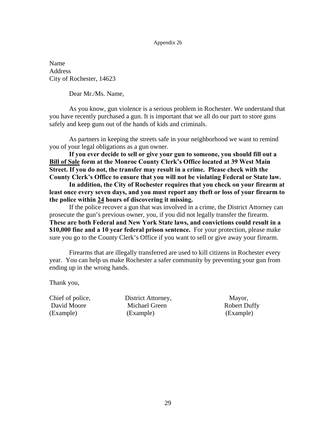#### Appendix 2b

Name Address City of Rochester, 14623

Dear Mr./Ms. Name,

As you know, gun violence is a serious problem in Rochester. We understand that you have recently purchased a gun. It is important that we all do our part to store guns safely and keep guns out of the hands of kids and criminals.

As partners in keeping the streets safe in your neighborhood we want to remind you of your legal obligations as a gun owner.

**If you ever decide to sell or give your gun to someone, you should fill out a Bill of Sale form at the Monroe County Clerk's Office located at 39 West Main Street. If you do not, the transfer may result in a crime. Please check with the County Clerk's Office to ensure that you will not be violating Federal or State law.** 

**In addition, the City of Rochester requires that you check on your firearm at least once every seven days, and you must report any theft or loss of your firearm to the police within 24 hours of discovering it missing.** 

If the police recover a gun that was involved in a crime, the District Attorney can prosecute the gun's previous owner, you, if you did not legally transfer the firearm. **These are both Federal and New York State laws, and convictions could result in a \$10,000 fine and a 10 year federal prison sentence.** For your protection, please make sure you go to the County Clerk's Office if you want to sell or give away your firearm.

Firearms that are illegally transferred are used to kill citizens in Rochester every year. You can help us make Rochester a safer community by preventing your gun from ending up in the wrong hands.

Thank you,

Chief of police, District Attorney, Mayor, David Moore Michael Green Robert Duffy (Example) (Example) (Example)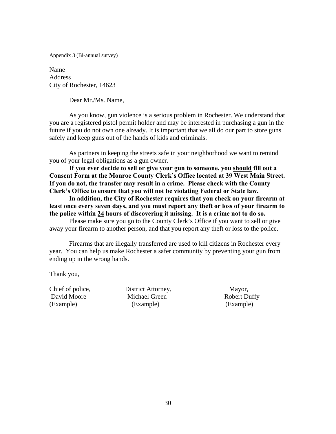Appendix 3 (Bi-annual survey)

Name Address City of Rochester, 14623

Dear Mr./Ms. Name,

As you know, gun violence is a serious problem in Rochester. We understand that you are a registered pistol permit holder and may be interested in purchasing a gun in the future if you do not own one already. It is important that we all do our part to store guns safely and keep guns out of the hands of kids and criminals.

As partners in keeping the streets safe in your neighborhood we want to remind you of your legal obligations as a gun owner.

**If you ever decide to sell or give your gun to someone, you should fill out a Consent Form at the Monroe County Clerk's Office located at 39 West Main Street. If you do not, the transfer may result in a crime. Please check with the County Clerk's Office to ensure that you will not be violating Federal or State law.** 

**In addition, the City of Rochester requires that you check on your firearm at least once every seven days, and you must report any theft or loss of your firearm to the police within 24 hours of discovering it missing. It is a crime not to do so.** 

Please make sure you go to the County Clerk's Office if you want to sell or give away your firearm to another person, and that you report any theft or loss to the police.

Firearms that are illegally transferred are used to kill citizens in Rochester every year. You can help us make Rochester a safer community by preventing your gun from ending up in the wrong hands.

Thank you,

Chief of police, District Attorney, Mayor, David Moore Michael Green Robert Duffy (Example) (Example) (Example)